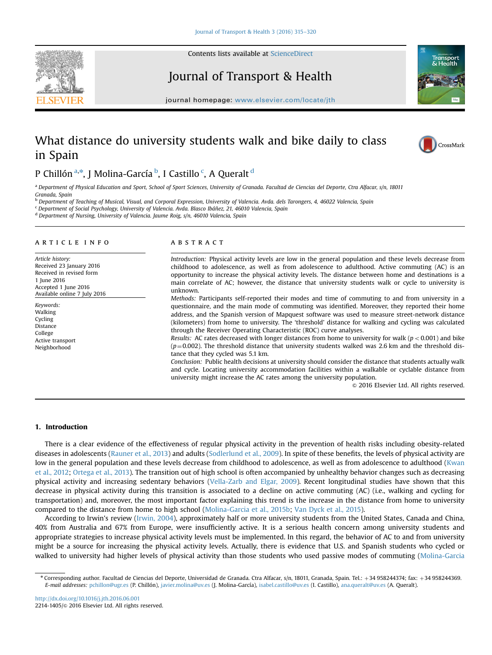

Contents lists available at [ScienceDirect](www.sciencedirect.com/science/journal/22141405)

# Journal of Transport & Health

journal homepage: <www.elsevier.com/locate/jth>/

## What distance do university students walk and bike daily to class in Spain



## P Chillón <sup>a,</sup>\*, J Molina-García <sup>b</sup>, I Castillo <sup>c</sup>, A Queralt <sup>d</sup>

a Department of Physical Education and Sport, School of Sport Sciences, University of Granada. Facultad de Ciencias del Deporte, Ctra Alfacar, s/n, 18011 Granada, Spain

<sup>b</sup> Department of Teaching of Musical, Visual, and Corporal Expression, University of Valencia, Avda. dels Tarongers, 4, 46022 Valencia, Spain

<sup>c</sup> Department of Social Psychology, University of Valencia. Avda. Blasco Ibáñez, 21, 46010 Valencia, Spain

<sup>d</sup> Department of Nursing, University of Valencia. Jaume Roig, s/n, 46010 Valencia, Spain

### article info

Article history: Received 23 January 2016 Received in revised form 1 June 2016 Accepted 1 June 2016 Available online 7 July 2016

Keywords: Walking Cycling Distance College Active transport Neighborhood

## abstract

Introduction: Physical activity levels are low in the general population and these levels decrease from childhood to adolescence, as well as from adolescence to adulthood. Active commuting (AC) is an opportunity to increase the physical activity levels. The distance between home and destinations is a main correlate of AC; however, the distance that university students walk or cycle to university is unknown.

Methods: Participants self-reported their modes and time of commuting to and from university in a questionnaire, and the main mode of commuting was identified. Moreover, they reported their home address, and the Spanish version of Mapquest software was used to measure street-network distance (kilometers) from home to university. The 'threshold' distance for walking and cycling was calculated through the Receiver Operating Characteristic (ROC) curve analyses.

Results: AC rates decreased with longer distances from home to university for walk ( $p < 0.001$ ) and bike  $(p=0.002)$ . The threshold distance that university students walked was 2.6 km and the threshold distance that they cycled was 5.1 km.

Conclusion: Public health decisions at university should consider the distance that students actually walk and cycle. Locating university accommodation facilities within a walkable or cyclable distance from university might increase the AC rates among the university population.

 $©$  2016 Elsevier Ltd. All rights reserved.

## 1. Introduction

There is a clear evidence of the effectiveness of regular physical activity in the prevention of health risks including obesity-related diseases in adolescents [\(Rauner et al., 2013\)](#page-5-0) and adults [\(Sodlerlund et al., 2009\)](#page-5-0). In spite of these benefits, the levels of physical activity are low in the general population and these levels decrease from childhood to adolescence, as well as from adolescence to adulthood [\(Kwan](#page-5-0) [et al., 2012](#page-5-0); [Ortega et al., 2013\)](#page-5-0). The transition out of high school is often accompanied by unhealthy behavior changes such as decreasing physical activity and increasing sedentary behaviors [\(Vella-Zarb and Elgar, 2009](#page-5-0)). Recent longitudinal studies have shown that this decrease in physical activity during this transition is associated to a decline on active commuting (AC) (i.e., walking and cycling for transportation) and, moreover, the most important factor explaining this trend is the increase in the distance from home to university compared to the distance from home to high school [\(Molina-Garcia et al., 2015b](#page-5-0); [Van Dyck et al., 2015](#page-5-0)).

According to Irwin's review ([Irwin, 2004\)](#page-5-0), approximately half or more university students from the United States, Canada and China, 40% from Australia and 67% from Europe, were insufficiently active. It is a serious health concern among university students and appropriate strategies to increase physical activity levels must be implemented. In this regard, the behavior of AC to and from university might be a source for increasing the physical activity levels. Actually, there is evidence that U.S. and Spanish students who cycled or walked to university had higher levels of physical activity than those students who used passive modes of commuting ([Molina-Garcia](#page-5-0)

<sup>\*</sup> Corresponding author. Facultad de Ciencias del Deporte, Universidad de Granada. Ctra Alfacar, s/n, 18011, Granada, Spain. Tel.: +34 958244374; fax: +34 958244369. E-mail addresses: [pchillon@ugr.es](mailto:pchillon@ugr.es) (P. Chillón), [javier.molina@uv.es](mailto:javier.molina@uv.es) (J. Molina-García), [isabel.castillo@uv.es](mailto:isabel.castillo@uv.es) (I. Castillo), [ana.queralt@uv.es](mailto:ana.queralt@uv.es) (A. Queralt).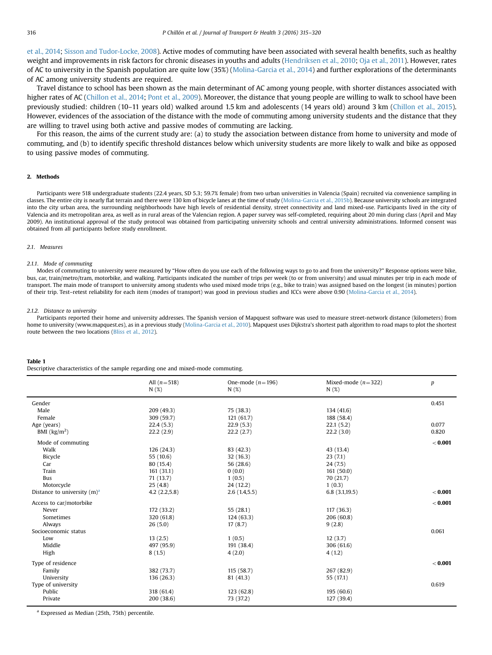<span id="page-1-0"></span>[et al., 2014;](#page-5-0) [Sisson and Tudor-Locke, 2008\)](#page-5-0). Active modes of commuting have been associated with several health benefits, such as healthy weight and improvements in risk factors for chronic diseases in youths and adults ([Hendriksen et al., 2010](#page-5-0); [Oja et al., 2011\)](#page-5-0). However, rates of AC to university in the Spanish population are quite low (35%) ([Molina-Garcia et al., 2014](#page-5-0)) and further explorations of the determinants of AC among university students are required.

Travel distance to school has been shown as the main determinant of AC among young people, with shorter distances associated with higher rates of AC ([Chillon et al., 2014](#page-5-0); [Pont et al., 2009\)](#page-5-0). Moreover, the distance that young people are willing to walk to school have been previously studied: children (10–11 years old) walked around 1.5 km and adolescents (14 years old) around 3 km ([Chillon et al., 2015\)](#page-5-0). However, evidences of the association of the distance with the mode of commuting among university students and the distance that they are willing to travel using both active and passive modes of commuting are lacking.

For this reason, the aims of the current study are: (a) to study the association between distance from home to university and mode of commuting, and (b) to identify specific threshold distances below which university students are more likely to walk and bike as opposed to using passive modes of commuting.

### 2. Methods

Participants were 518 undergraduate students (22.4 years, SD 5.3; 59.7% female) from two urban universities in Valencia (Spain) recruited via convenience sampling in classes. The entire city is nearly flat terrain and there were 130 km of bicycle lanes at the time of study [\(Molina-Garcia et al., 2015b](#page-5-0)). Because university schools are integrated into the city urban area, the surrounding neighborhoods have high levels of residential density, street connectivity and land mixed-use. Participants lived in the city of Valencia and its metropolitan area, as well as in rural areas of the Valencian region. A paper survey was self-completed, requiring about 20 min during class (April and May 2009). An institutional approval of the study protocol was obtained from participating university schools and central university administrations. Informed consent was obtained from all participants before study enrollment.

#### 2.1. Measures

#### 2.1.1. Mode of commuting

Modes of commuting to university were measured by "How often do you use each of the following ways to go to and from the university?" Response options were bike, bus, car, train/metro/tram, motorbike, and walking. Participants indicated the number of trips per week (to or from university) and usual minutes per trip in each mode of transport. The main mode of transport to university among students who used mixed mode trips (e.g., bike to train) was assigned based on the longest (in minutes) portion of their trip. Test–retest reliability for each item (modes of transport) was good in previous studies and ICCs were above 0.90 [\(Molina-Garcia et al., 2014\)](#page-5-0).

#### 2.1.2. Distance to university

Participants reported their home and university addresses. The Spanish version of Mapquest software was used to measure street-network distance (kilometers) from home to university (www.mapquest.es), as in a previous study [\(Molina-Garcia et al., 2010\)](#page-5-0). Mapquest uses Dijkstra's shortest path algorithm to road maps to plot the shortest route between the two locations [\(Bliss et al., 2012\)](#page-5-0).

#### Table 1

Descriptive characteristics of the sample regarding one and mixed-mode commuting.

|                                | All $(n=518)$<br>N(%) | One-mode $(n=196)$<br>N(%) | Mixed-mode $(n=322)$<br>N(%) | $\boldsymbol{p}$ |
|--------------------------------|-----------------------|----------------------------|------------------------------|------------------|
| Gender                         |                       |                            |                              | 0.451            |
| Male                           | 209 (49.3)            | 75 (38.3)                  | 134 (41.6)                   |                  |
| Female                         | 309 (59.7)            | 121 (61.7)                 | 188 (58.4)                   |                  |
| Age (years)                    | 22.4(5.3)             | 22.9(5.3)                  | 22.1(5.2)                    | 0.077            |
| BMI $(kg/m2)$                  | 22.2(2.9)             | 22.2(2.7)                  | 22.2(3.0)                    | 0.820            |
| Mode of commuting              |                       |                            |                              | < 0.001          |
| Walk                           | 126 (24.3)            | 83 (42.3)                  | 43 (13.4)                    |                  |
| Bicycle                        | 55(10.6)              | 32(16.3)                   | 23(7.1)                      |                  |
| Car                            | 80 (15.4)             | 56 (28.6)                  | 24(7.5)                      |                  |
| Train                          | 161(31.1)             | 0(0.0)                     | 161(50.0)                    |                  |
| Bus                            | 71 (13.7)             | 1(0.5)                     | 70 (21.7)                    |                  |
| Motorcycle                     | 25(4.8)               | 24 (12.2)                  | 1(0.3)                       |                  |
| Distance to university $(m)^a$ | 4.2(2.2,5.8)          | 2.6(1.4,5.5)               | 6.8(3.1,19.5)                | < 0.001          |
| Access to car/motorbike        |                       |                            |                              | < 0.001          |
| Never                          | 172 (33.2)            | 55(28.1)                   | 117(36.3)                    |                  |
| Sometimes                      | 320 (61.8)            | 124(63.3)                  | 206 (60.8)                   |                  |
| Always                         | 26(5.0)               | 17(8.7)                    | 9(2.8)                       |                  |
| Socioeconomic status           |                       |                            |                              | 0.061            |
| Low                            | 13(2.5)               | 1(0.5)                     | 12(3.7)                      |                  |
| Middle                         | 497 (95.9)            | 191 (38.4)                 | 306 (61.6)                   |                  |
| High                           | 8(1.5)                | 4(2.0)                     | 4(1.2)                       |                  |
| Type of residence              |                       |                            |                              | < 0.001          |
| Family                         | 382 (73.7)            | 115(58.7)                  | 267 (82.9)                   |                  |
| University                     | 136 (26.3)            | 81 (41.3)                  | 55 (17.1)                    |                  |
| Type of university             |                       |                            |                              | 0.619            |
| Public                         | 318 (61.4)            | 123 (62.8)                 | 195 (60.6)                   |                  |
| Private                        | 200 (38.6)            | 73 (37.2)                  | 127 (39.4)                   |                  |

<sup>a</sup> Expressed as Median (25th, 75th) percentile.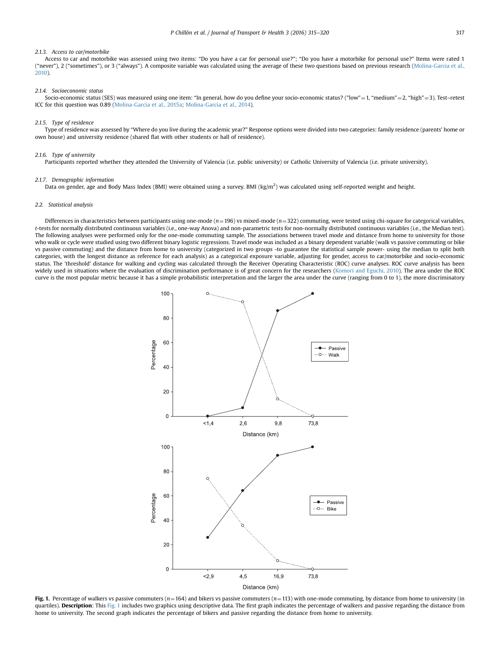#### <span id="page-2-0"></span>2.1.3. Access to car/motorbike

Access to car and motorbike was assessed using two items: "Do you have a car for personal use?"; "Do you have a motorbike for personal use?" Items were rated 1 ("never"), 2 ("sometimes"), or 3 ("always"). A composite variable was calculated using the average of these two questions based on previous research [\(Molina-Garcia et al.,](#page-5-0) [2010](#page-5-0)).

#### 2.1.4. Socioeconomic status

Socio-economic status (SES) was measured using one item: "In general, how do you define your socio-economic status? ("low" = 1, "medium" = 2, "high" = 3). Test-retest ICC for this question was 0.89 ([Molina-Garcia et al., 2015a](#page-5-0); [Molina-Garcia et al., 2014](#page-5-0)).

#### 2.1.5. Type of residence

Type of residence was assessed by "Where do you live during the academic year?" Response options were divided into two categories: family residence (parents' home or own house) and university residence (shared flat with other students or hall of residence).

#### 2.1.6. Type of university

Participants reported whether they attended the University of Valencia (i.e. public university) or Catholic University of Valencia (i.e. private university).

#### 2.1.7. Demographic information

Data on gender, age and Body Mass Index (BMI) were obtained using a survey. BMI (kg/m<sup>2</sup>) was calculated using self-reported weight and height.

#### 2.2. Statistical analysis

Differences in characteristics between participants using one-mode ( $n=196$ ) vs mixed-mode ( $n=322$ ) commuting, were tested using chi-square for categorical variables, t-tests for normally distributed continuous variables (i.e., one-way Anova) and non-parametric tests for non-normally distributed continuous variables (i.e., the Median test). The following analyses were performed only for the one-mode commuting sample. The associations between travel mode and distance from home to university for those who walk or cycle were studied using two different binary logistic regressions. Travel mode was included as a binary dependent variable (walk vs passive commuting or bike vs passive commuting) and the distance from home to university (categorized in two groups -to guarantee the statistical sample power- using the median to split both categories, with the longest distance as reference for each analysis) as a categorical exposure variable, adjusting for gender, access to car/motorbike and socio-economic status. The 'threshold' distance for walking and cycling was calculated through the Receiver Operating Characteristic (ROC) curve analyses. ROC curve analysis has been widely used in situations where the evaluation of discrimination performance is of great concern for the researchers [\(Komori and Eguchi, 2010\)](#page-5-0). The area under the ROC curve is the most popular metric because it has a simple probabilistic interpretation and the larger the area under the curve (ranging from 0 to 1), the more discriminatory



Fig. 1. Percentage of walkers vs passive commuters ( $n=164$ ) and bikers vs passive commuters ( $n=113$ ) with one-mode commuting, by distance from home to university (in quartiles). Description: This Fig. 1 includes two graphics using descriptive data. The first graph indicates the percentage of walkers and passive regarding the distance from home to university. The second graph indicates the percentage of bikers and passive regarding the distance from home to university.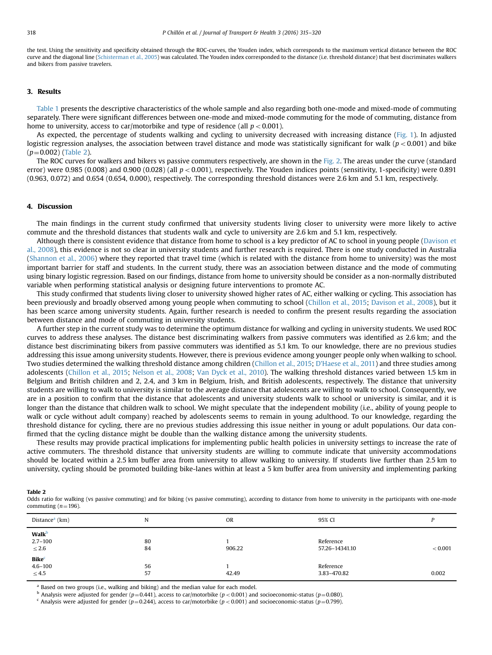the test. Using the sensitivity and specificity obtained through the ROC-curves, the Youden index, which corresponds to the maximum vertical distance between the ROC curve and the diagonal line [\(Schisterman et al., 2005](#page-5-0)) was calculated. The Youden index corresponded to the distance (i.e. threshold distance) that best discriminates walkers and bikers from passive travelers.

## 3. Results

[Table 1](#page-1-0) presents the descriptive characteristics of the whole sample and also regarding both one-mode and mixed-mode of commuting separately. There were significant differences between one-mode and mixed-mode commuting for the mode of commuting, distance from home to university, access to car/motorbike and type of residence (all  $p < 0.001$ ).

As expected, the percentage of students walking and cycling to university decreased with increasing distance [\(Fig. 1\)](#page-2-0). In adjusted logistic regression analyses, the association between travel distance and mode was statistically significant for walk ( $p < 0.001$ ) and bike  $(p=0.002)$  (Table 2).

The ROC curves for walkers and bikers vs passive commuters respectively, are shown in the [Fig. 2.](#page-4-0) The areas under the curve (standard error) were 0.985 (0.008) and 0.900 (0.028) (all  $p < 0.001$ ), respectively. The Youden indices points (sensitivity, 1-specificity) were 0.891 (0.963, 0.072) and 0.654 (0.654, 0.000), respectively. The corresponding threshold distances were 2.6 km and 5.1 km, respectively.

#### 4. Discussion

The main findings in the current study confirmed that university students living closer to university were more likely to active commute and the threshold distances that students walk and cycle to university are 2.6 km and 5.1 km, respectively.

Although there is consistent evidence that distance from home to school is a key predictor of AC to school in young people [\(Davison et](#page-5-0) [al., 2008](#page-5-0)), this evidence is not so clear in university students and further research is required. There is one study conducted in Australia ([Shannon et al., 2006](#page-5-0)) where they reported that travel time (which is related with the distance from home to university) was the most important barrier for staff and students. In the current study, there was an association between distance and the mode of commuting using binary logistic regression. Based on our findings, distance from home to university should be consider as a non-normally distributed variable when performing statistical analysis or designing future interventions to promote AC.

This study confirmed that students living closer to university showed higher rates of AC, either walking or cycling. This association has been previously and broadly observed among young people when commuting to school [\(Chillon et al., 2015](#page-5-0); [Davison et al., 2008\)](#page-5-0), but it has been scarce among university students. Again, further research is needed to confirm the present results regarding the association between distance and mode of commuting in university students.

A further step in the current study was to determine the optimum distance for walking and cycling in university students. We used ROC curves to address these analyses. The distance best discriminating walkers from passive commuters was identified as 2.6 km; and the distance best discriminating bikers from passive commuters was identified as 5.1 km. To our knowledge, there are no previous studies addressing this issue among university students. However, there is previous evidence among younger people only when walking to school. Two studies determined the walking threshold distance among children ([Chillon et al., 2015;](#page-5-0) [D'Haese et al., 2011\)](#page-5-0) and three studies among adolescents ([Chillon et al., 2015;](#page-5-0) [Nelson et al., 2008;](#page-5-0) [Van Dyck et al., 2010\)](#page-5-0). The walking threshold distances varied between 1.5 km in Belgium and British children and 2, 2.4, and 3 km in Belgium, Irish, and British adolescents, respectively. The distance that university students are willing to walk to university is similar to the average distance that adolescents are willing to walk to school. Consequently, we are in a position to confirm that the distance that adolescents and university students walk to school or university is similar, and it is longer than the distance that children walk to school. We might speculate that the independent mobility (i.e., ability of young people to walk or cycle without adult company) reached by adolescents seems to remain in young adulthood. To our knowledge, regarding the threshold distance for cycling, there are no previous studies addressing this issue neither in young or adult populations. Our data confirmed that the cycling distance might be double than the walking distance among the university students.

These results may provide practical implications for implementing public health policies in university settings to increase the rate of active commuters. The threshold distance that university students are willing to commute indicate that university accommodations should be located within a 2.5 km buffer area from university to allow walking to university. If students live further than 2.5 km to university, cycling should be promoted building bike-lanes within at least a 5 km buffer area from university and implementing parking

Table 2

Odds ratio for walking (vs passive commuting) and for biking (vs passive commuting), according to distance from home to university in the participants with one-mode commuting  $(n=196)$ .

| Distance <sup>a</sup> (km)                            | N        | <b>OR</b> | 95% CI                      |         |
|-------------------------------------------------------|----------|-----------|-----------------------------|---------|
| <b>Walk</b> b<br>$2.7 - 100$<br>$\leq 2.6$            | 80<br>84 | 906.22    | Reference<br>57.26-14341.10 | < 0.001 |
| <b>Bike</b> <sup>c</sup><br>$4.6 - 100$<br>$\leq 4.5$ | 56<br>57 | 42.49     | Reference<br>3.83-470.82    | 0.002   |

<sup>a</sup> Based on two groups (i.e., walking and biking) and the median value for each model.

<sup>b</sup> Analysis were adjusted for gender ( $p=0.441$ ), access to car/motorbike ( $p < 0.001$ ) and socioeconomic-status ( $p=0.080$ ).<br><sup>c</sup> Analysis were adjusted for gender ( $p=0.244$ ), access to car/motorbike ( $p < 0.001$ ) and soc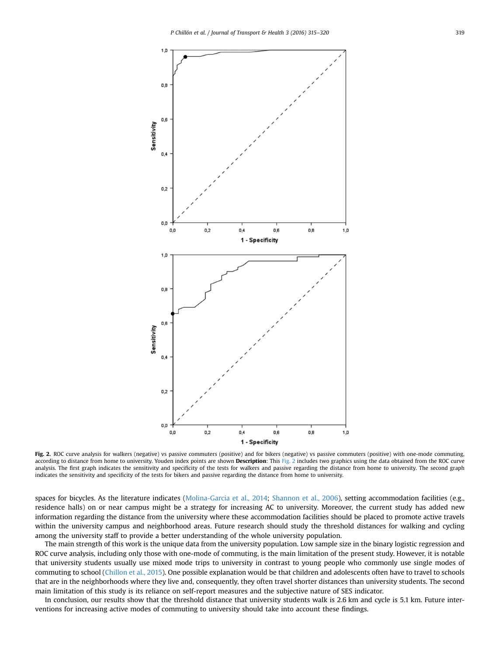<span id="page-4-0"></span>

Fig. 2. ROC curve analysis for walkers (negative) vs passive commuters (positive) and for bikers (negative) vs passive commuters (positive) with one-mode commuting, according to distance from home to university. Youden index points are shown Description: This Fig. 2 includes two graphics using the data obtained from the ROC curve analysis. The first graph indicates the sensitivity and specificity of the tests for walkers and passive regarding the distance from home to university. The second graph indicates the sensitivity and specificity of the tests for bikers and passive regarding the distance from home to university.

spaces for bicycles. As the literature indicates ([Molina-Garcia et al., 2014;](#page-5-0) [Shannon et al., 2006](#page-5-0)), setting accommodation facilities (e.g., residence halls) on or near campus might be a strategy for increasing AC to university. Moreover, the current study has added new information regarding the distance from the university where these accommodation facilities should be placed to promote active travels within the university campus and neighborhood areas. Future research should study the threshold distances for walking and cycling among the university staff to provide a better understanding of the whole university population.

The main strength of this work is the unique data from the university population. Low sample size in the binary logistic regression and ROC curve analysis, including only those with one-mode of commuting, is the main limitation of the present study. However, it is notable that university students usually use mixed mode trips to university in contrast to young people who commonly use single modes of commuting to school [\(Chillon et al., 2015](#page-5-0)). One possible explanation would be that children and adolescents often have to travel to schools that are in the neighborhoods where they live and, consequently, they often travel shorter distances than university students. The second main limitation of this study is its reliance on self-report measures and the subjective nature of SES indicator.

In conclusion, our results show that the threshold distance that university students walk is 2.6 km and cycle is 5.1 km. Future interventions for increasing active modes of commuting to university should take into account these findings.